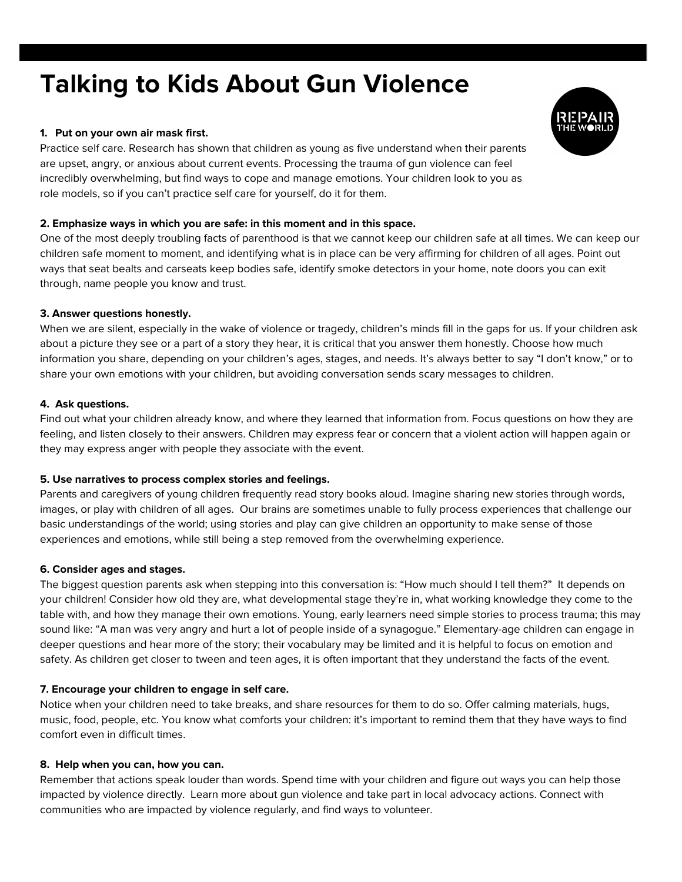# **Talking to Kids About Gun Violence**

#### **1. Put on your own air mask first.**

Practice self care. Research has shown that children as young as five understand when their parents are upset, angry, or anxious about current events. Processing the trauma of gun violence can feel incredibly overwhelming, but find ways to cope and manage emotions. Your children look to you as role models, so if you can't practice self care for yourself, do it for them.

#### **2. Emphasize ways in which you are safe: in this moment and in this space.**

One of the most deeply troubling facts of parenthood is that we cannot keep our children safe at all times. We can keep our children safe moment to moment, and identifying what is in place can be very affirming for children of all ages. Point out ways that seat bealts and carseats keep bodies safe, identify smoke detectors in your home, note doors you can exit through, name people you know and trust.

#### **3. Answer questions honestly.**

When we are silent, especially in the wake of violence or tragedy, children's minds fill in the gaps for us. If your children ask about a picture they see or a part of a story they hear, it is critical that you answer them honestly. Choose how much information you share, depending on your children's ages, stages, and needs. It's always better to say "I don't know," or to share your own emotions with your children, but avoiding conversation sends scary messages to children.

#### **4. Ask questions.**

Find out what your children already know, and where they learned that information from. Focus questions on how they are feeling, and listen closely to their answers. Children may express fear or concern that a violent action will happen again or they may express anger with people they associate with the event.

#### **5. Use narratives to process complex stories and feelings.**

Parents and caregivers of young children frequently read story books aloud. Imagine sharing new stories through words, images, or play with children of all ages. Our brains are sometimes unable to fully process experiences that challenge our basic understandings of the world; using stories and play can give children an opportunity to make sense of those experiences and emotions, while still being a step removed from the overwhelming experience.

#### **6. Consider ages and stages.**

The biggest question parents ask when stepping into this conversation is: "How much should I tell them?" It depends on your children! Consider how old they are, what developmental stage they're in, what working knowledge they come to the table with, and how they manage their own emotions. Young, early learners need simple stories to process trauma; this may sound like: "A man was very angry and hurt a lot of people inside of a synagogue." Elementary-age children can engage in deeper questions and hear more of the story; their vocabulary may be limited and it is helpful to focus on emotion and safety. As children get closer to tween and teen ages, it is often important that they understand the facts of the event.

#### **7. Encourage your children to engage in self care.**

Notice when your children need to take breaks, and share resources for them to do so. Offer calming materials, hugs, music, food, people, etc. You know what comforts your children: it's important to remind them that they have ways to find comfort even in difficult times.

#### **8. Help when you can, how you can.**

Remember that actions speak louder than words. Spend time with your children and figure out ways you can help those impacted by violence directly. Learn more about gun violence and take part in local advocacy actions. Connect with communities who are impacted by violence regularly, and find ways to volunteer.